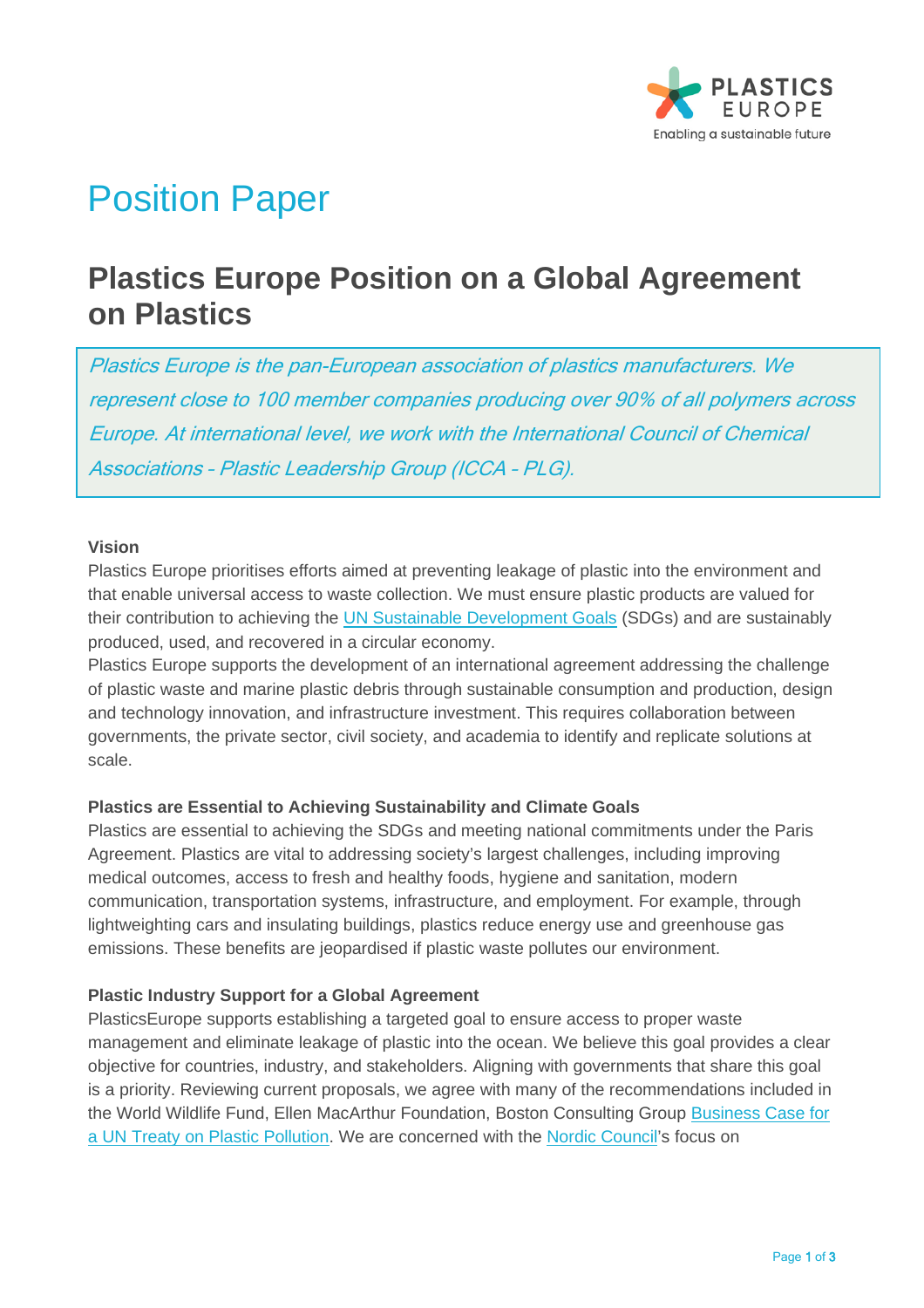

# Position Paper

# **Plastics Europe Position on a Global Agreement on Plastics**

Plastics Europe is the pan-European association of plastics manufacturers. We represent close to 100 member companies producing over 90% of all polymers across Europe. At international level, we work with the International Council of Chemical Associations – Plastic Leadership Group (ICCA – PLG).

#### **Vision**

Plastics Europe prioritises efforts aimed at preventing leakage of plastic into the environment and that enable universal access to waste collection. We must ensure plastic products are valued for their contribution to achieving the [UN Sustainable Development Goals](https://sdgs.un.org/goals) (SDGs) and are sustainably produced, used, and recovered in a circular economy.

Plastics Europe supports the development of an international agreement addressing the challenge of plastic waste and marine plastic debris through sustainable consumption and production, design and technology innovation, and infrastructure investment. This requires collaboration between governments, the private sector, civil society, and academia to identify and replicate solutions at scale.

## **Plastics are Essential to Achieving Sustainability and Climate Goals**

Plastics are essential to achieving the SDGs and meeting national commitments under the Paris Agreement. Plastics are vital to addressing society's largest challenges, including improving medical outcomes, access to fresh and healthy foods, hygiene and sanitation, modern communication, transportation systems, infrastructure, and employment. For example, through lightweighting cars and insulating buildings, plastics reduce energy use and greenhouse gas emissions. These benefits are jeopardised if plastic waste pollutes our environment.

## **Plastic Industry Support for a Global Agreement**

PlasticsEurope supports establishing a targeted goal to ensure access to proper waste management and eliminate leakage of plastic into the ocean. We believe this goal provides a clear objective for countries, industry, and stakeholders. Aligning with governments that share this goal is a priority. Reviewing current proposals, we agree with many of the recommendations included in the World Wildlife Fund, Ellen MacArthur Foundation, Boston Consulting Group [Business Case for](https://lp.panda.org/plastic-pollution-report)  [a UN Treaty on Plastic Pollution.](https://lp.panda.org/plastic-pollution-report) We are concerned with the [Nordic Council's](https://www.norden.org/en/publication/possible-elements-new-global-agreement-prevent-plastic-pollution) focus on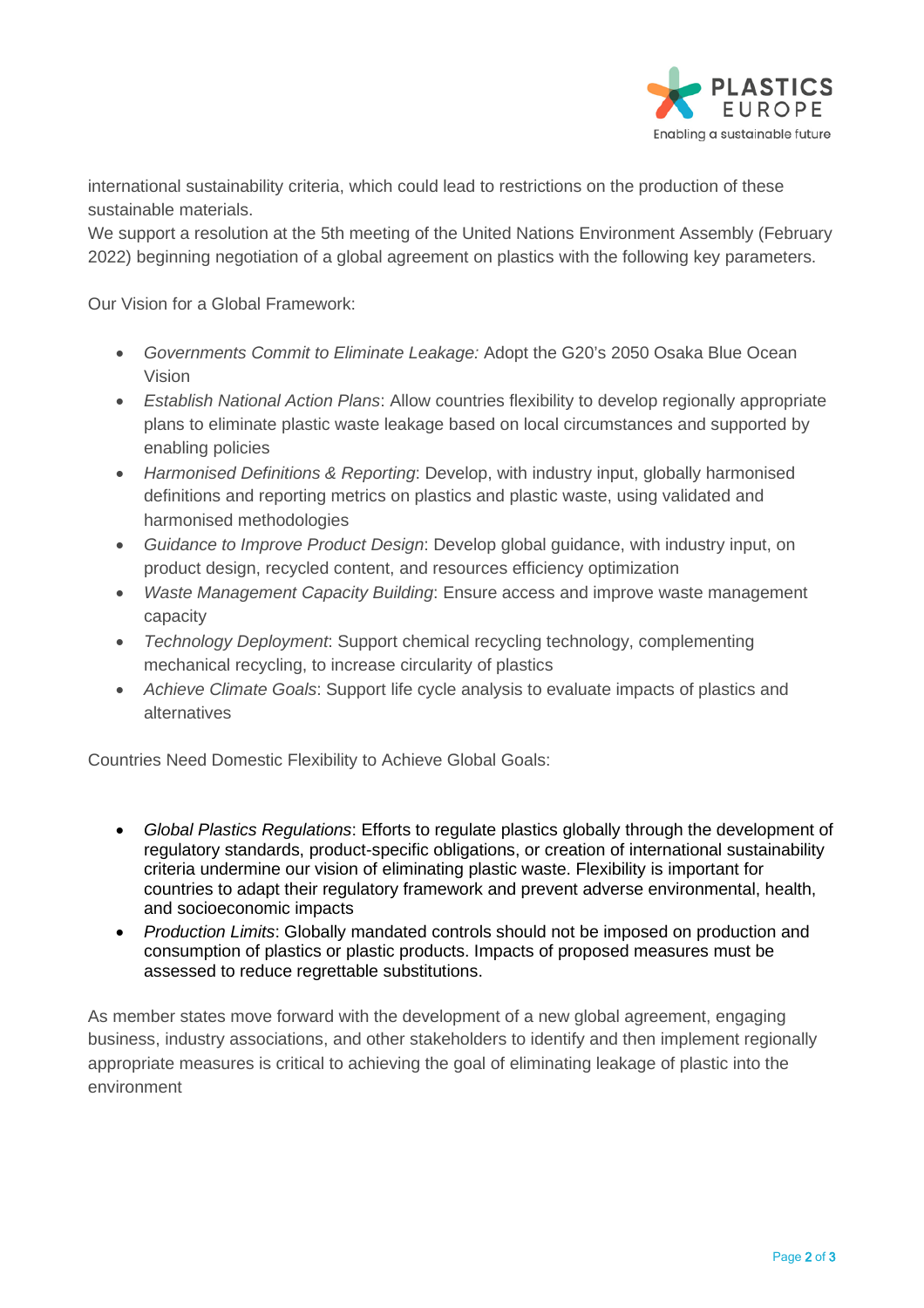

international sustainability criteria, which could lead to restrictions on the production of these sustainable materials.

We support a resolution at the 5th meeting of the United Nations Environment Assembly (February 2022) beginning negotiation of a global agreement on plastics with the following key parameters.

Our Vision for a Global Framework:

- *Governments Commit to Eliminate Leakage:* Adopt the G20's 2050 Osaka Blue Ocean Vision
- *Establish National Action Plans*: Allow countries flexibility to develop regionally appropriate plans to eliminate plastic waste leakage based on local circumstances and supported by enabling policies
- *Harmonised Definitions & Reporting*: Develop, with industry input, globally harmonised definitions and reporting metrics on plastics and plastic waste, using validated and harmonised methodologies
- *Guidance to Improve Product Design*: Develop global guidance, with industry input, on product design, recycled content, and resources efficiency optimization
- *Waste Management Capacity Building*: Ensure access and improve waste management capacity
- *Technology Deployment*: Support chemical recycling technology, complementing mechanical recycling, to increase circularity of plastics
- *Achieve Climate Goals*: Support life cycle analysis to evaluate impacts of plastics and alternatives

Countries Need Domestic Flexibility to Achieve Global Goals:

- *Global Plastics Regulations*: Efforts to regulate plastics globally through the development of regulatory standards, product-specific obligations, or creation of international sustainability criteria undermine our vision of eliminating plastic waste. Flexibility is important for countries to adapt their regulatory framework and prevent adverse environmental, health, and socioeconomic impacts
- *Production Limits*: Globally mandated controls should not be imposed on production and consumption of plastics or plastic products. Impacts of proposed measures must be assessed to reduce regrettable substitutions.

As member states move forward with the development of a new global agreement, engaging business, industry associations, and other stakeholders to identify and then implement regionally appropriate measures is critical to achieving the goal of eliminating leakage of plastic into the environment